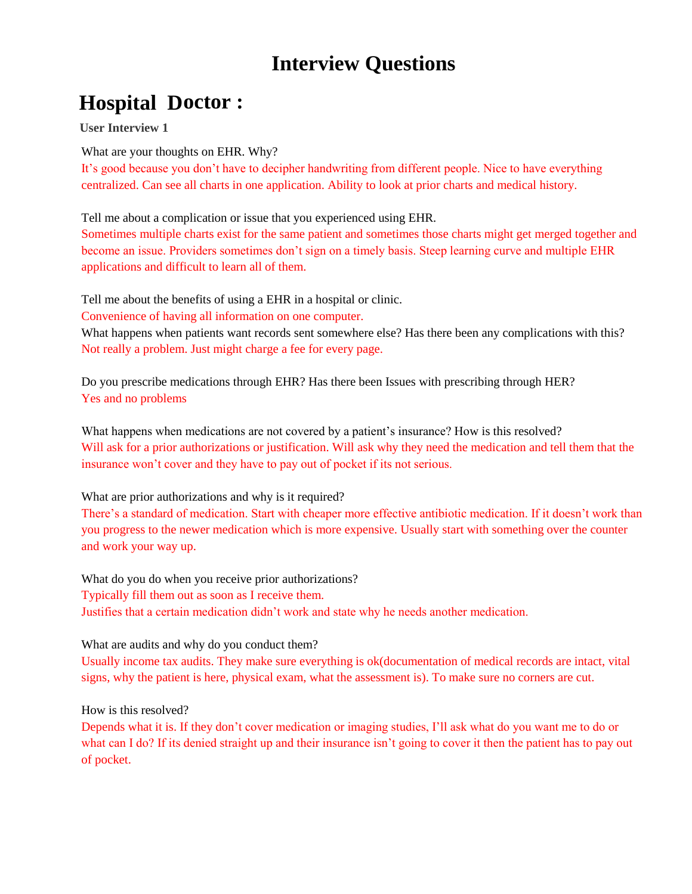# **Interview Questions**

# **Hospital Doctor :**

**User Interview 1**

What are your thoughts on EHR. Why?

It's good because you don't have to decipher handwriting from different people. Nice to have everything centralized. Can see all charts in one application. Ability to look at prior charts and medical history.

Tell me about a complication or issue that you experienced using EHR.

Sometimes multiple charts exist for the same patient and sometimes those charts might get merged together and become an issue. Providers sometimes don't sign on a timely basis. Steep learning curve and multiple EHR applications and difficult to learn all of them.

Tell me about the benefits of using a EHR in a hospital or clinic.

Convenience of having all information on one computer.

What happens when patients want records sent somewhere else? Has there been any complications with this? Not really a problem. Just might charge a fee for every page.

Do you prescribe medications through EHR? Has there been Issues with prescribing through HER? Yes and no problems

What happens when medications are not covered by a patient's insurance? How is this resolved? Will ask for a prior authorizations or justification. Will ask why they need the medication and tell them that the insurance won't cover and they have to pay out of pocket if its not serious.

## What are prior authorizations and why is it required?

There's a standard of medication. Start with cheaper more effective antibiotic medication. If it doesn't work than you progress to the newer medication which is more expensive. Usually start with something over the counter and work your way up.

What do you do when you receive prior authorizations? Typically fill them out as soon as I receive them. Justifies that a certain medication didn't work and state why he needs another medication.

## What are audits and why do you conduct them?

Usually income tax audits. They make sure everything is ok(documentation of medical records are intact, vital signs, why the patient is here, physical exam, what the assessment is). To make sure no corners are cut.

How is this resolved?

Depends what it is. If they don't cover medication or imaging studies, I'll ask what do you want me to do or what can I do? If its denied straight up and their insurance isn't going to cover it then the patient has to pay out of pocket.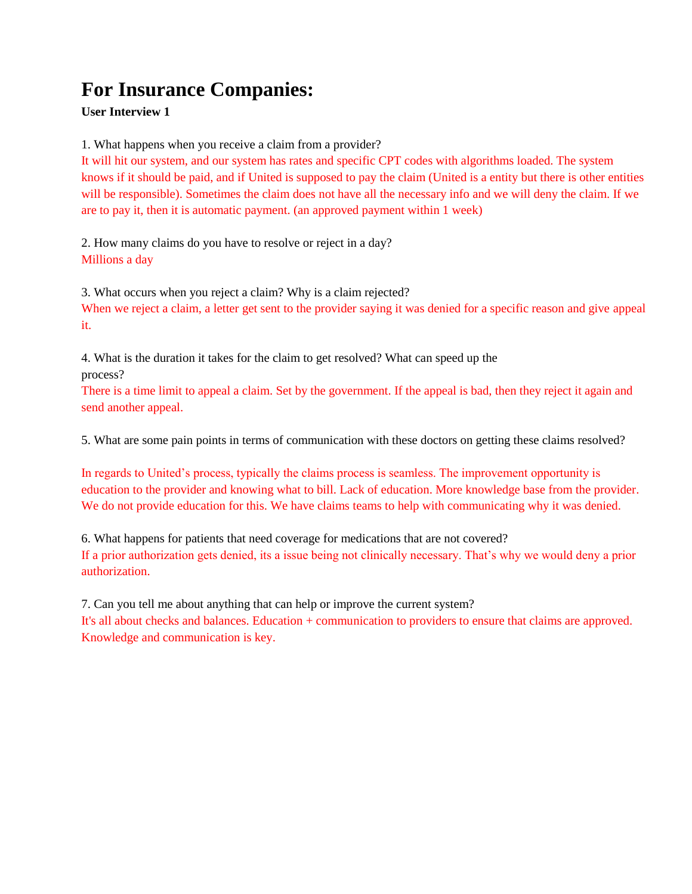# **For Insurance Companies:**

#### **User Interview 1**

1. What happens when you receive a claim from a provider?

It will hit our system, and our system has rates and specific CPT codes with algorithms loaded. The system knows if it should be paid, and if United is supposed to pay the claim (United is a entity but there is other entities will be responsible). Sometimes the claim does not have all the necessary info and we will deny the claim. If we are to pay it, then it is automatic payment. (an approved payment within 1 week)

2. How many claims do you have to resolve or reject in a day? Millions a day

3. What occurs when you reject a claim? Why is a claim rejected?

When we reject a claim, a letter get sent to the provider saying it was denied for a specific reason and give appeal it.

4. What is the duration it takes for the claim to get resolved? What can speed up the process?

There is a time limit to appeal a claim. Set by the government. If the appeal is bad, then they reject it again and send another appeal.

5. What are some pain points in terms of communication with these doctors on getting these claims resolved?

In regards to United's process, typically the claims process is seamless. The improvement opportunity is education to the provider and knowing what to bill. Lack of education. More knowledge base from the provider. We do not provide education for this. We have claims teams to help with communicating why it was denied.

6. What happens for patients that need coverage for medications that are not covered? If a prior authorization gets denied, its a issue being not clinically necessary. That's why we would deny a prior authorization.

7. Can you tell me about anything that can help or improve the current system?

It's all about checks and balances. Education + communication to providers to ensure that claims are approved. Knowledge and communication is key.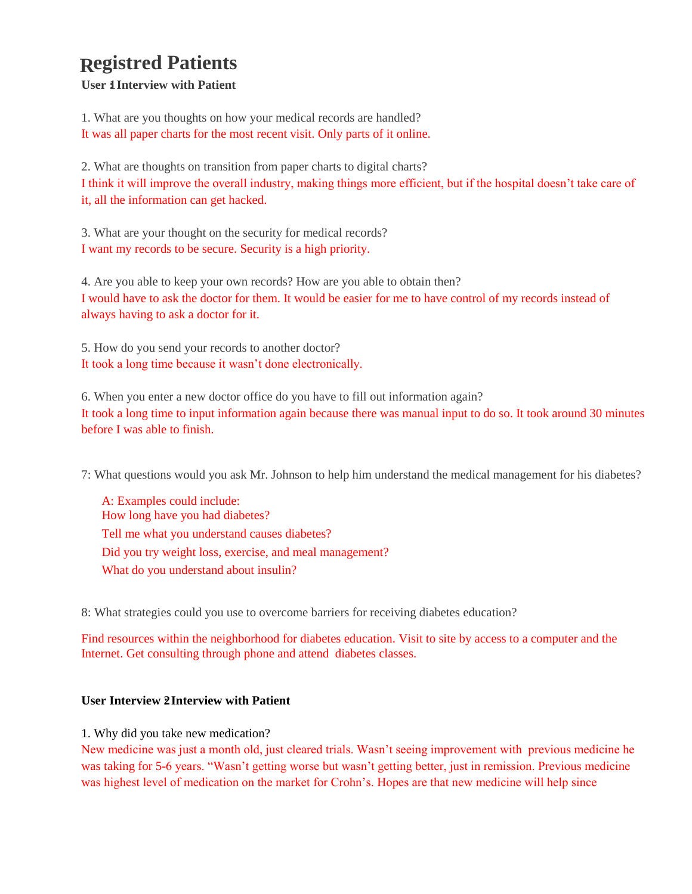#### **egistred Patients R**

**User 1 Interview with Patient** 

1. What are you thoughts on how your medical records are handled? It was all paper charts for the most recent visit. Only parts of it online.

2. What are thoughts on transition from paper charts to digital charts? I think it will improve the overall industry, making things more efficient, but if the hospital doesn't take care of it, all the information can get hacked.

3. What are your thought on the security for medical records? I want my records to be secure. Security is a high priority.

4. Are you able to keep your own records? How are you able to obtain then? I would have to ask the doctor for them. It would be easier for me to have control of my records instead of always having to ask a doctor for it.

5. How do you send your records to another doctor? It took a long time because it wasn't done electronically.

6. When you enter a new doctor office do you have to fill out information again? It took a long time to input information again because there was manual input to do so. It took around 30 minutes before I was able to finish.

7: What questions would you ask Mr. Johnson to help him understand the medical management for his diabetes?

A: Examples could include: How long have you had diabetes? Tell me what you understand causes diabetes? Did you try weight loss, exercise, and meal management? What do you understand about insulin?

8: What strategies could you use to overcome barriers for receiving diabetes education?

Find resources within the neighborhood for diabetes education. Visit to site by access to a computer and the Internet. Get consulting through phone and attend diabetes classes.

#### **User Interview 2 Interview with Patient**

1. Why did you take new medication?

New medicine was just a month old, just cleared trials. Wasn't seeing improvement with previous medicine he was taking for 5-6 years. "Wasn't getting worse but wasn't getting better, just in remission. Previous medicine was highest level of medication on the market for Crohn's. Hopes are that new medicine will help since